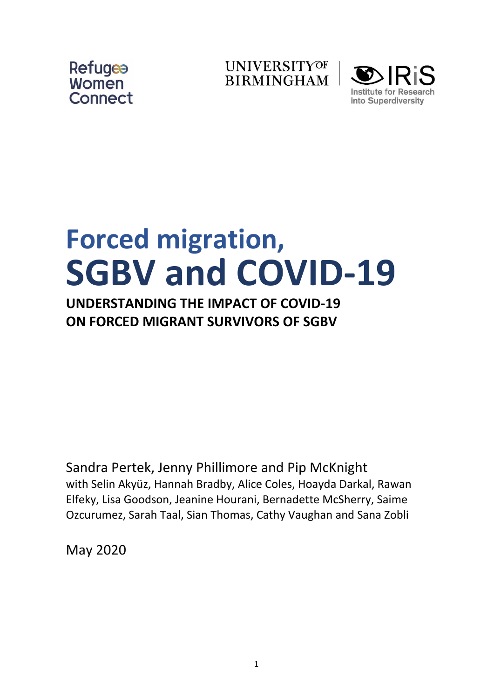





# **Forced migration, SGBV and COVID-19**

## **UNDERSTANDING THE IMPACT OF COVID-19 ON FORCED MIGRANT SURVIVORS OF SGBV**

Sandra Pertek, Jenny Phillimore and Pip McKnight with Selin Akyüz, Hannah Bradby, Alice Coles, Hoayda Darkal, Rawan Elfeky, Lisa Goodson, Jeanine Hourani, Bernadette McSherry, Saime Ozcurumez, Sarah Taal, Sian Thomas, Cathy Vaughan and Sana Zobli

May 2020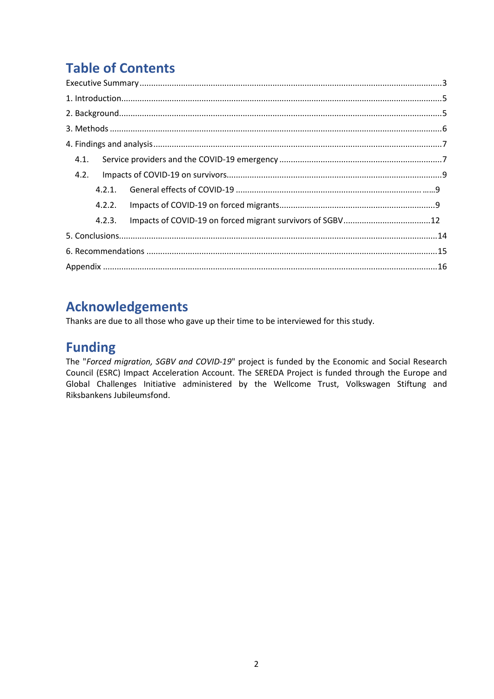## **Table of Contents**

| 4.1.   |  |
|--------|--|
| 4.2.   |  |
| 4.2.1. |  |
|        |  |
| 4.2.3. |  |
|        |  |
|        |  |
|        |  |

## **Acknowledgements**

Thanks are due to all those who gave up their time to be interviewed for this study.

## **Funding**

The "*Forced migration, SGBV and COVID-19*" project is funded by the Economic and Social Research Council (ESRC) Impact Acceleration Account. The SEREDA Project is funded through the Europe and Global Challenges Initiative administered by the Wellcome Trust, Volkswagen Stiftung and Riksbankens Jubileumsfond.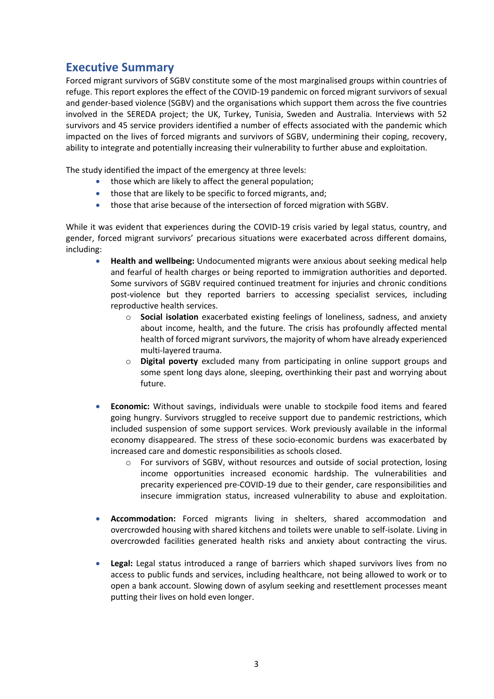### <span id="page-2-0"></span>**Executive Summary**

Forced migrant survivors of SGBV constitute some of the most marginalised groups within countries of refuge. This report explores the effect of the COVID-19 pandemic on forced migrant survivors of sexual and gender-based violence (SGBV) and the organisations which support them across the five countries involved in the SEREDA project; the UK, Turkey, Tunisia, Sweden and Australia. Interviews with 52 survivors and 45 service providers identified a number of effects associated with the pandemic which impacted on the lives of forced migrants and survivors of SGBV, undermining their coping, recovery, ability to integrate and potentially increasing their vulnerability to further abuse and exploitation.

The study identified the impact of the emergency at three levels:

- those which are likely to affect the general population;
- those that are likely to be specific to forced migrants, and;
- those that arise because of the intersection of forced migration with SGBV.

While it was evident that experiences during the COVID-19 crisis varied by legal status, country, and gender, forced migrant survivors' precarious situations were exacerbated across different domains, including:

- **Health and wellbeing:** Undocumented migrants were anxious about seeking medical help and fearful of health charges or being reported to immigration authorities and deported. Some survivors of SGBV required continued treatment for injuries and chronic conditions post-violence but they reported barriers to accessing specialist services, including reproductive health services.
	- o **Social isolation** exacerbated existing feelings of loneliness, sadness, and anxiety about income, health, and the future. The crisis has profoundly affected mental health of forced migrant survivors, the majority of whom have already experienced multi-layered trauma.
	- o **Digital poverty** excluded many from participating in online support groups and some spent long days alone, sleeping, overthinking their past and worrying about future.
- **Economic:** Without savings, individuals were unable to stockpile food items and feared going hungry. Survivors struggled to receive support due to pandemic restrictions, which included suspension of some support services. Work previously available in the informal economy disappeared. The stress of these socio-economic burdens was exacerbated by increased care and domestic responsibilities as schools closed.
	- $\circ$  For survivors of SGBV, without resources and outside of social protection, losing income opportunities increased economic hardship. The vulnerabilities and precarity experienced pre-COVID-19 due to their gender, care responsibilities and insecure immigration status, increased vulnerability to abuse and exploitation.
- **Accommodation:** Forced migrants living in shelters, shared accommodation and overcrowded housing with shared kitchens and toilets were unable to self-isolate. Living in overcrowded facilities generated health risks and anxiety about contracting the virus.
- **Legal:** Legal status introduced a range of barriers which shaped survivors lives from no access to public funds and services, including healthcare, not being allowed to work or to open a bank account. Slowing down of asylum seeking and resettlement processes meant putting their lives on hold even longer.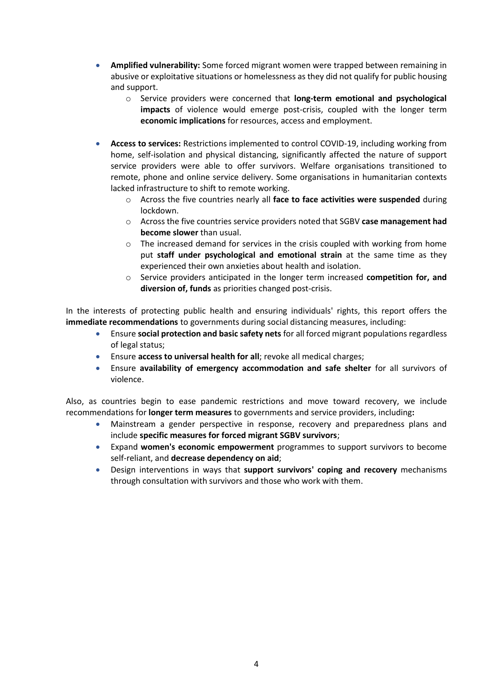- **Amplified vulnerability:** Some forced migrant women were trapped between remaining in abusive or exploitative situations or homelessness as they did not qualify for public housing and support.
	- o Service providers were concerned that **long-term emotional and psychological impacts** of violence would emerge post-crisis, coupled with the longer term **economic implications** for resources, access and employment.
- **Access to services:** Restrictions implemented to control COVID-19, including working from home, self-isolation and physical distancing, significantly affected the nature of support service providers were able to offer survivors. Welfare organisations transitioned to remote, phone and online service delivery. Some organisations in humanitarian contexts lacked infrastructure to shift to remote working.
	- o Across the five countries nearly all **face to face activities were suspended** during lockdown.
	- o Across the five countries service providers noted that SGBV **case management had become slower** than usual.
	- $\circ$  The increased demand for services in the crisis coupled with working from home put **staff under psychological and emotional strain** at the same time as they experienced their own anxieties about health and isolation.
	- o Service providers anticipated in the longer term increased **competition for, and diversion of, funds** as priorities changed post-crisis.

In the interests of protecting public health and ensuring individuals' rights, this report offers the **immediate recommendations** to governments during social distancing measures, including:

- Ensure **social protection and basic safety nets** for all forced migrant populations regardless of legal status;
- Ensure **access to universal health for all**; revoke all medical charges;
- Ensure **availability of emergency accommodation and safe shelter** for all survivors of violence.

Also, as countries begin to ease pandemic restrictions and move toward recovery, we include recommendations for **longer term measures** to governments and service providers, including**:**

- Mainstream a gender perspective in response, recovery and preparedness plans and include **specific measures for forced migrant SGBV survivors**;
- Expand **women's economic empowerment** programmes to support survivors to become self-reliant, and **decrease dependency on aid**;
- Design interventions in ways that **support survivors' coping and recovery** mechanisms through consultation with survivors and those who work with them.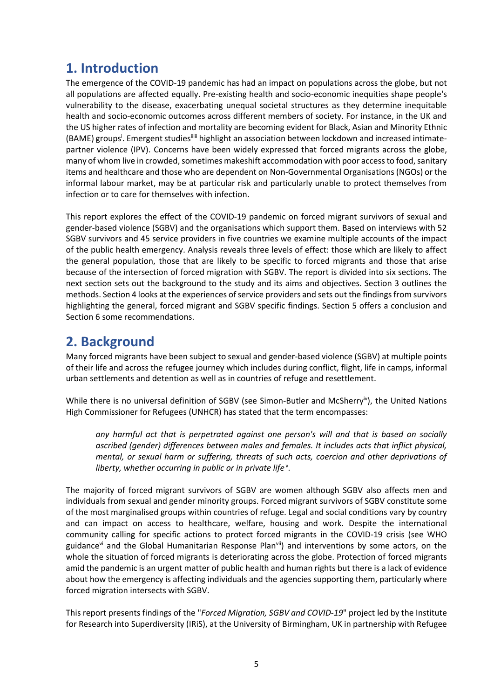## <span id="page-4-0"></span>**1. Introduction**

The emergence of the COVID-19 pandemic has had an impact on populations across the globe, but not all populations are affected equally. Pre-existing health and socio-economic inequities shape people's vulnerability to the disease, exacerbating unequal societal structures as they determine inequitable health and socio-economic outcomes across different members of society. For instance, in the UK and the US higher rates of infection and mortality are becoming evident for Black, Asian and Minority Ethnic (BAME) groups<sup>i</sup>. Emergent studies<sup>iiiii</sup> highlight an association between lockdown and increased intimatepartner violence (IPV). Concerns have been widely expressed that forced migrants across the globe, many of whom live in crowded, sometimes makeshift accommodation with poor access to food, sanitary items and healthcare and those who are dependent on Non-Governmental Organisations (NGOs) or the informal labour market, may be at particular risk and particularly unable to protect themselves from infection or to care for themselves with infection.

This report explores the effect of the COVID-19 pandemic on forced migrant survivors of sexual and gender-based violence (SGBV) and the organisations which support them. Based on interviews with 52 SGBV survivors and 45 service providers in five countries we examine multiple accounts of the impact of the public health emergency. Analysis reveals three levels of effect: those which are likely to affect the general population, those that are likely to be specific to forced migrants and those that arise because of the intersection of forced migration with SGBV. The report is divided into six sections. The next section sets out the background to the study and its aims and objectives. Section 3 outlines the methods. Section 4 looks at the experiences of service providers and sets out the findings from survivors highlighting the general, forced migrant and SGBV specific findings. Section 5 offers a conclusion and Section 6 some recommendations.

## <span id="page-4-1"></span>**2. Background**

Many forced migrants have been subject to sexual and gender-based violence (SGBV) at multiple points of their life and across the refugee journey which includes during conflict, flight, life in camps, informal urban settlements and detention as well as in countries of refuge and resettlement.

While there is no universal definition of SGBV (see Simon-Butler and McSherry<sup>iv</sup>), the United Nations High Commissioner for Refugees (UNHCR) has stated that the term encompasses:

*any harmful act that is perpetrated against one person's will and that is based on socially ascribed (gender) differences between males and females. It includes acts that inflict physical, mental, or sexual harm or suffering, threats of such acts, coercion and other deprivations of*  liberty, whether occurring in public or in private life<sup>v</sup>.

The majority of forced migrant survivors of SGBV are women although SGBV also affects men and individuals from sexual and gender minority groups. Forced migrant survivors of SGBV constitute some of the most marginalised groups within countries of refuge. Legal and social conditions vary by country and can impact on access to healthcare, welfare, housing and work. Despite the international community calling for specific actions to protect forced migrants in the COVID-19 crisis (see WHO guidance<sup>vi</sup> and the Global Humanitarian Response Plan<sup>vii</sup>) and interventions by some actors, on the whole the situation of forced migrants is deteriorating across the globe. Protection of forced migrants amid the pandemic is an urgent matter of public health and human rights but there is a lack of evidence about how the emergency is affecting individuals and the agencies supporting them, particularly where forced migration intersects with SGBV.

This report presents findings of the "*Forced Migration, SGBV and COVID-19*" project led by the Institute for Research into Superdiversity (IRiS), at the University of Birmingham, UK in partnership with Refugee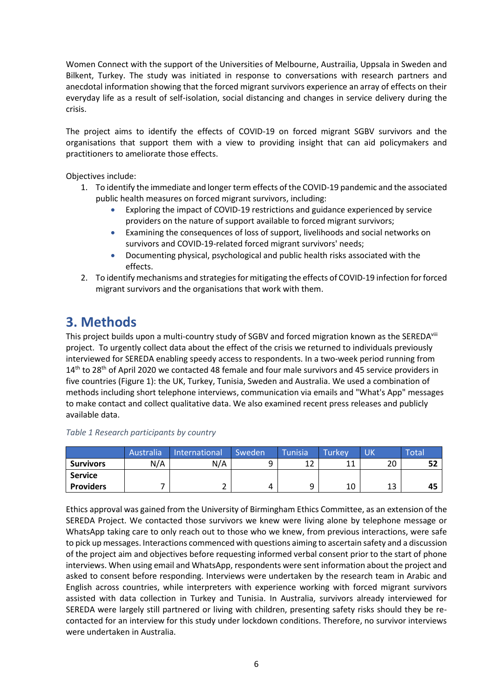Women Connect with the support of the Universities of Melbourne, Austrailia, Uppsala in Sweden and Bilkent, Turkey. The study was initiated in response to conversations with research partners and anecdotal information showing that the forced migrant survivors experience an array of effects on their everyday life as a result of self-isolation, social distancing and changes in service delivery during the crisis.

The project aims to identify the effects of COVID-19 on forced migrant SGBV survivors and the organisations that support them with a view to providing insight that can aid policymakers and practitioners to ameliorate those effects.

Objectives include:

- 1. To identify the immediate and longer term effects of the COVID-19 pandemic and the associated public health measures on forced migrant survivors, including:
	- Exploring the impact of COVID-19 restrictions and guidance experienced by service providers on the nature of support available to forced migrant survivors;
	- Examining the consequences of loss of support, livelihoods and social networks on survivors and COVID-19-related forced migrant survivors' needs;
	- Documenting physical, psychological and public health risks associated with the effects.
- <span id="page-5-0"></span>2. To identify mechanisms and strategies for mitigating the effects of COVID-19 infection for forced migrant survivors and the organisations that work with them.

## **3. Methods**

This project builds upon a multi-country study of SGBV and forced migration known as the SEREDA<sup>viii</sup> project. To urgently collect data about the effect of the crisis we returned to individuals previously interviewed for SEREDA enabling speedy access to respondents. In a two-week period running from  $14<sup>th</sup>$  to 28<sup>th</sup> of April 2020 we contacted 48 female and four male survivors and 45 service providers in five countries (Figure 1): the UK, Turkey, Tunisia, Sweden and Australia. We used a combination of methods including short telephone interviews, communication via emails and "What's App" messages to make contact and collect qualitative data. We also examined recent press releases and publicly available data.

|                  | Australia | International | Sweden | Tunisia   | Turkev  | UK | <b>Total</b> |
|------------------|-----------|---------------|--------|-----------|---------|----|--------------|
| <b>Survivors</b> | N/A       | N/A           | a      | 1 ว<br>∸∠ | 11<br>ᆠ | 20 | c٩<br>∍∠     |
| <b>Service</b>   |           |               |        |           |         |    |              |
| <b>Providers</b> |           |               | 4      | u         | 10      | 13 | 45           |

*Table 1 Research participants by country*

Ethics approval was gained from the University of Birmingham Ethics Committee, as an extension of the SEREDA Project. We contacted those survivors we knew were living alone by telephone message or WhatsApp taking care to only reach out to those who we knew, from previous interactions, were safe to pick up messages. Interactions commenced with questions aiming to ascertain safety and a discussion of the project aim and objectives before requesting informed verbal consent prior to the start of phone interviews. When using email and WhatsApp, respondents were sent information about the project and asked to consent before responding. Interviews were undertaken by the research team in Arabic and English across countries, while interpreters with experience working with forced migrant survivors assisted with data collection in Turkey and Tunisia. In Australia, survivors already interviewed for SEREDA were largely still partnered or living with children, presenting safety risks should they be recontacted for an interview for this study under lockdown conditions. Therefore, no survivor interviews were undertaken in Australia.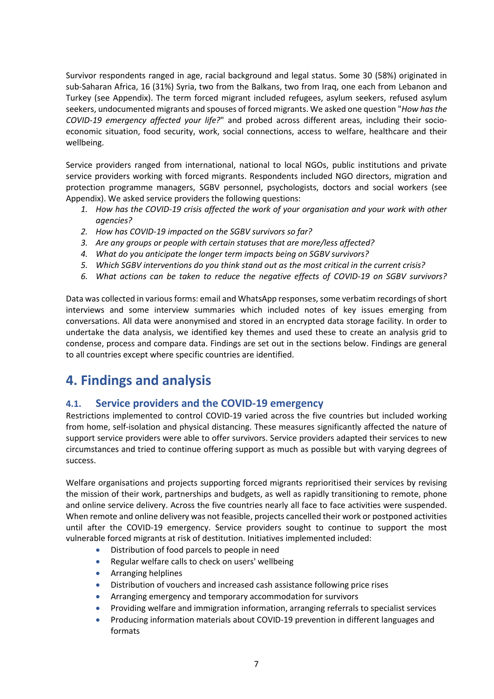Survivor respondents ranged in age, racial background and legal status. Some 30 (58%) originated in sub-Saharan Africa, 16 (31%) Syria, two from the Balkans, two from Iraq, one each from Lebanon and Turkey (see Appendix). The term forced migrant included refugees, asylum seekers, refused asylum seekers, undocumented migrants and spouses of forced migrants. We asked one question "*How has the COVID-19 emergency affected your life?*" and probed across different areas, including their socioeconomic situation, food security, work, social connections, access to welfare, healthcare and their wellbeing.

Service providers ranged from international, national to local NGOs, public institutions and private service providers working with forced migrants. Respondents included NGO directors, migration and protection programme managers, SGBV personnel, psychologists, doctors and social workers (see Appendix). We asked service providers the following questions:

- *1. How has the COVID-19 crisis affected the work of your organisation and your work with other agencies?*
- *2. How has COVID-19 impacted on the SGBV survivors so far?*
- *3. Are any groups or people with certain statuses that are more/less affected?*
- *4. What do you anticipate the longer term impacts being on SGBV survivors?*
- *5. Which SGBV interventions do you think stand out as the most critical in the current crisis?*
- *6. What actions can be taken to reduce the negative effects of COVID-19 on SGBV survivors?*

Data was collected in various forms: email and WhatsApp responses, some verbatim recordings of short interviews and some interview summaries which included notes of key issues emerging from conversations. All data were anonymised and stored in an encrypted data storage facility. In order to undertake the data analysis, we identified key themes and used these to create an analysis grid to condense, process and compare data. Findings are set out in the sections below. Findings are general to all countries except where specific countries are identified.

## <span id="page-6-0"></span>**4. Findings and analysis**

#### <span id="page-6-1"></span>**4.1. Service providers and the COVID-19 emergency**

Restrictions implemented to control COVID-19 varied across the five countries but included working from home, self-isolation and physical distancing. These measures significantly affected the nature of support service providers were able to offer survivors. Service providers adapted their services to new circumstances and tried to continue offering support as much as possible but with varying degrees of success.

Welfare organisations and projects supporting forced migrants reprioritised their services by revising the mission of their work, partnerships and budgets, as well as rapidly transitioning to remote, phone and online service delivery. Across the five countries nearly all face to face activities were suspended. When remote and online delivery was not feasible, projects cancelled their work or postponed activities until after the COVID-19 emergency. Service providers sought to continue to support the most vulnerable forced migrants at risk of destitution. Initiatives implemented included:

- Distribution of food parcels to people in need
- Regular welfare calls to check on users' wellbeing
- Arranging helplines
- Distribution of vouchers and increased cash assistance following price rises
- Arranging emergency and temporary accommodation for survivors
- Providing welfare and immigration information, arranging referrals to specialist services
- Producing information materials about COVID-19 prevention in different languages and formats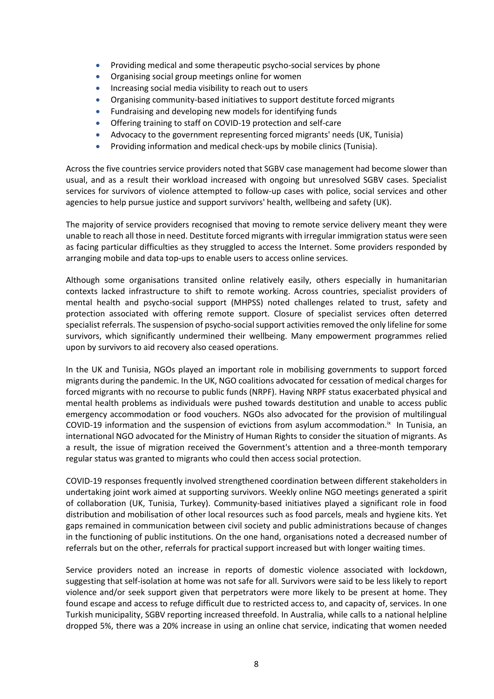- Providing medical and some therapeutic psycho-social services by phone
- Organising social group meetings online for women
- Increasing social media visibility to reach out to users
- Organising community-based initiatives to support destitute forced migrants
- Fundraising and developing new models for identifying funds
- Offering training to staff on COVID-19 protection and self-care
- Advocacy to the government representing forced migrants' needs (UK, Tunisia)
- Providing information and medical check-ups by mobile clinics (Tunisia).

Across the five countries service providers noted that SGBV case management had become slower than usual, and as a result their workload increased with ongoing but unresolved SGBV cases. Specialist services for survivors of violence attempted to follow-up cases with police, social services and other agencies to help pursue justice and support survivors' health, wellbeing and safety (UK).

The majority of service providers recognised that moving to remote service delivery meant they were unable to reach all those in need. Destitute forced migrants with irregular immigration status were seen as facing particular difficulties as they struggled to access the Internet. Some providers responded by arranging mobile and data top-ups to enable users to access online services.

Although some organisations transited online relatively easily, others especially in humanitarian contexts lacked infrastructure to shift to remote working. Across countries, specialist providers of mental health and psycho-social support (MHPSS) noted challenges related to trust, safety and protection associated with offering remote support. Closure of specialist services often deterred specialist referrals. The suspension of psycho-social support activities removed the only lifeline for some survivors, which significantly undermined their wellbeing. Many empowerment programmes relied upon by survivors to aid recovery also ceased operations.

In the UK and Tunisia, NGOs played an important role in mobilising governments to support forced migrants during the pandemic. In the UK, NGO coalitions advocated for cessation of medical charges for forced migrants with no recourse to public funds (NRPF). Having NRPF status exacerbated physical and mental health problems as individuals were pushed towards destitution and unable to access public emergency accommodation or food vouchers. NGOs also advocated for the provision of multilingual COVID-19 information and the suspension of evictions from asylum accommodation. $\frac{1}{N}$  In Tunisia, an international NGO advocated for the Ministry of Human Rights to consider the situation of migrants. As a result, the issue of migration received the Government's attention and a three-month temporary regular status was granted to migrants who could then access social protection.

COVID-19 responses frequently involved strengthened coordination between different stakeholders in undertaking joint work aimed at supporting survivors. Weekly online NGO meetings generated a spirit of collaboration (UK, Tunisia, Turkey). Community-based initiatives played a significant role in food distribution and mobilisation of other local resources such as food parcels, meals and hygiene kits. Yet gaps remained in communication between civil society and public administrations because of changes in the functioning of public institutions. On the one hand, organisations noted a decreased number of referrals but on the other, referrals for practical support increased but with longer waiting times.

Service providers noted an increase in reports of domestic violence associated with lockdown, suggesting that self-isolation at home was not safe for all. Survivors were said to be less likely to report violence and/or seek support given that perpetrators were more likely to be present at home. They found escape and access to refuge difficult due to restricted access to, and capacity of, services. In one Turkish municipality, SGBV reporting increased threefold. In Australia, while calls to a national helpline dropped 5%, there was a 20% increase in using an online chat service, indicating that women needed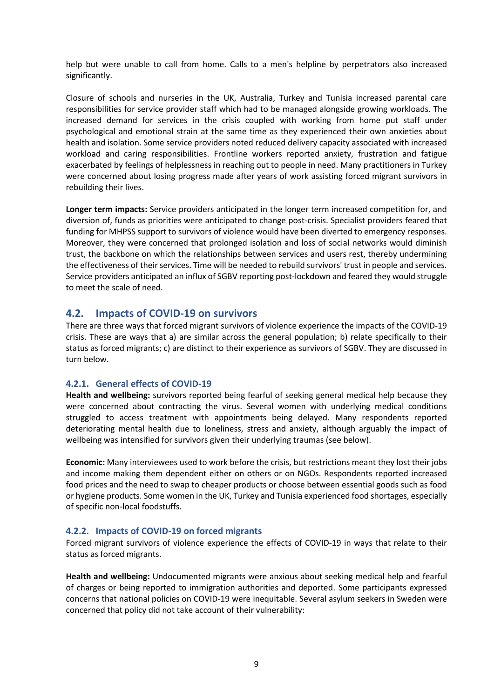help but were unable to call from home. Calls to a men's helpline by perpetrators also increased significantly.

Closure of schools and nurseries in the UK, Australia, Turkey and Tunisia increased parental care responsibilities for service provider staff which had to be managed alongside growing workloads. The increased demand for services in the crisis coupled with working from home put staff under psychological and emotional strain at the same time as they experienced their own anxieties about health and isolation. Some service providers noted reduced delivery capacity associated with increased workload and caring responsibilities. Frontline workers reported anxiety, frustration and fatigue exacerbated by feelings of helplessness in reaching out to people in need. Many practitioners in Turkey were concerned about losing progress made after years of work assisting forced migrant survivors in rebuilding their lives.

**Longer term impacts:** Service providers anticipated in the longer term increased competition for, and diversion of, funds as priorities were anticipated to change post-crisis. Specialist providers feared that funding for MHPSS support to survivors of violence would have been diverted to emergency responses. Moreover, they were concerned that prolonged isolation and loss of social networks would diminish trust, the backbone on which the relationships between services and users rest, thereby undermining the effectiveness of their services. Time will be needed to rebuild survivors' trust in people and services. Service providers anticipated an influx of SGBV reporting post-lockdown and feared they would struggle to meet the scale of need.

#### <span id="page-8-0"></span>**4.2. Impacts of COVID-19 on survivors**

There are three ways that forced migrant survivors of violence experience the impacts of the COVID-19 crisis. These are ways that a) are similar across the general population; b) relate specifically to their status as forced migrants; c) are distinct to their experience as survivors of SGBV. They are discussed in turn below.

#### <span id="page-8-1"></span>**4.2.1. General effects of COVID-19**

**Health and wellbeing:** survivors reported being fearful of seeking general medical help because they were concerned about contracting the virus. Several women with underlying medical conditions struggled to access treatment with appointments being delayed. Many respondents reported deteriorating mental health due to loneliness, stress and anxiety, although arguably the impact of wellbeing was intensified for survivors given their underlying traumas (see below).

**Economic:** Many interviewees used to work before the crisis, but restrictions meant they lost their jobs and income making them dependent either on others or on NGOs. Respondents reported increased food prices and the need to swap to cheaper products or choose between essential goods such as food or hygiene products. Some women in the UK, Turkey and Tunisia experienced food shortages, especially of specific non-local foodstuffs.

#### <span id="page-8-2"></span>**4.2.2. Impacts of COVID-19 on forced migrants**

Forced migrant survivors of violence experience the effects of COVID-19 in ways that relate to their status as forced migrants.

**Health and wellbeing:** Undocumented migrants were anxious about seeking medical help and fearful of charges or being reported to immigration authorities and deported. Some participants expressed concerns that national policies on COVID-19 were inequitable. Several asylum seekers in Sweden were concerned that policy did not take account of their vulnerability: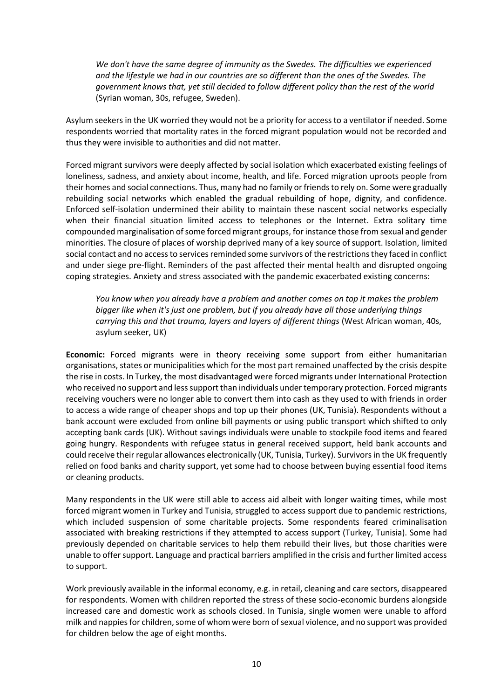*We don't have the same degree of immunity as the Swedes. The difficulties we experienced and the lifestyle we had in our countries are so different than the ones of the Swedes. The government knows that, yet still decided to follow different policy than the rest of the world*  (Syrian woman, 30s, refugee, Sweden).

Asylum seekers in the UK worried they would not be a priority for access to a ventilator if needed. Some respondents worried that mortality rates in the forced migrant population would not be recorded and thus they were invisible to authorities and did not matter.

Forced migrant survivors were deeply affected by social isolation which exacerbated existing feelings of loneliness, sadness, and anxiety about income, health, and life. Forced migration uproots people from their homes and social connections. Thus, many had no family or friends to rely on. Some were gradually rebuilding social networks which enabled the gradual rebuilding of hope, dignity, and confidence. Enforced self-isolation undermined their ability to maintain these nascent social networks especially when their financial situation limited access to telephones or the Internet. Extra solitary time compounded marginalisation of some forced migrant groups, for instance those from sexual and gender minorities. The closure of places of worship deprived many of a key source of support. Isolation, limited social contact and no access to services reminded some survivors of the restrictions they faced in conflict and under siege pre-flight. Reminders of the past affected their mental health and disrupted ongoing coping strategies. Anxiety and stress associated with the pandemic exacerbated existing concerns:

*You know when you already have a problem and another comes on top it makes the problem bigger like when it's just one problem, but if you already have all those underlying things carrying this and that trauma, layers and layers of different things* (West African woman, 40s, asylum seeker, UK)

**Economic:** Forced migrants were in theory receiving some support from either humanitarian organisations, states or municipalities which for the most part remained unaffected by the crisis despite the rise in costs. In Turkey, the most disadvantaged were forced migrants under International Protection who received no support and less support than individuals under temporary protection. Forced migrants receiving vouchers were no longer able to convert them into cash as they used to with friends in order to access a wide range of cheaper shops and top up their phones (UK, Tunisia). Respondents without a bank account were excluded from online bill payments or using public transport which shifted to only accepting bank cards (UK). Without savings individuals were unable to stockpile food items and feared going hungry. Respondents with refugee status in general received support, held bank accounts and could receive their regular allowances electronically (UK, Tunisia, Turkey). Survivors in the UK frequently relied on food banks and charity support, yet some had to choose between buying essential food items or cleaning products.

Many respondents in the UK were still able to access aid albeit with longer waiting times, while most forced migrant women in Turkey and Tunisia, struggled to access support due to pandemic restrictions, which included suspension of some charitable projects. Some respondents feared criminalisation associated with breaking restrictions if they attempted to access support (Turkey, Tunisia). Some had previously depended on charitable services to help them rebuild their lives, but those charities were unable to offer support. Language and practical barriers amplified in the crisis and further limited access to support.

Work previously available in the informal economy, e.g. in retail, cleaning and care sectors, disappeared for respondents. Women with children reported the stress of these socio-economic burdens alongside increased care and domestic work as schools closed. In Tunisia, single women were unable to afford milk and nappies for children, some of whom were born of sexual violence, and no support was provided for children below the age of eight months.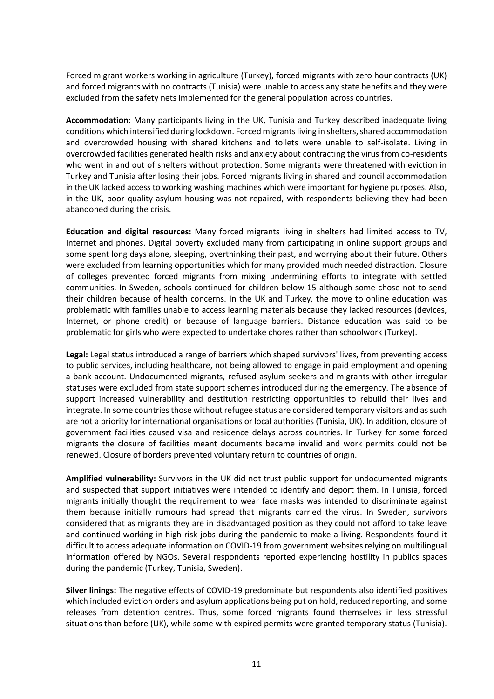Forced migrant workers working in agriculture (Turkey), forced migrants with zero hour contracts (UK) and forced migrants with no contracts (Tunisia) were unable to access any state benefits and they were excluded from the safety nets implemented for the general population across countries.

**Accommodation:** Many participants living in the UK, Tunisia and Turkey described inadequate living conditions which intensified during lockdown. Forced migrants living in shelters, shared accommodation and overcrowded housing with shared kitchens and toilets were unable to self-isolate. Living in overcrowded facilities generated health risks and anxiety about contracting the virus from co-residents who went in and out of shelters without protection. Some migrants were threatened with eviction in Turkey and Tunisia after losing their jobs. Forced migrants living in shared and council accommodation in the UK lacked access to working washing machines which were important for hygiene purposes. Also, in the UK, poor quality asylum housing was not repaired, with respondents believing they had been abandoned during the crisis.

**Education and digital resources:** Many forced migrants living in shelters had limited access to TV, Internet and phones. Digital poverty excluded many from participating in online support groups and some spent long days alone, sleeping, overthinking their past, and worrying about their future. Others were excluded from learning opportunities which for many provided much needed distraction. Closure of colleges prevented forced migrants from mixing undermining efforts to integrate with settled communities. In Sweden, schools continued for children below 15 although some chose not to send their children because of health concerns. In the UK and Turkey, the move to online education was problematic with families unable to access learning materials because they lacked resources (devices, Internet, or phone credit) or because of language barriers. Distance education was said to be problematic for girls who were expected to undertake chores rather than schoolwork (Turkey).

**Legal:** Legal status introduced a range of barriers which shaped survivors' lives, from preventing access to public services, including healthcare, not being allowed to engage in paid employment and opening a bank account. Undocumented migrants, refused asylum seekers and migrants with other irregular statuses were excluded from state support schemes introduced during the emergency. The absence of support increased vulnerability and destitution restricting opportunities to rebuild their lives and integrate. In some countries those without refugee status are considered temporary visitors and as such are not a priority for international organisations or local authorities (Tunisia, UK). In addition, closure of government facilities caused visa and residence delays across countries. In Turkey for some forced migrants the closure of facilities meant documents became invalid and work permits could not be renewed. Closure of borders prevented voluntary return to countries of origin.

**Amplified vulnerability:** Survivors in the UK did not trust public support for undocumented migrants and suspected that support initiatives were intended to identify and deport them. In Tunisia, forced migrants initially thought the requirement to wear face masks was intended to discriminate against them because initially rumours had spread that migrants carried the virus. In Sweden, survivors considered that as migrants they are in disadvantaged position as they could not afford to take leave and continued working in high risk jobs during the pandemic to make a living. Respondents found it difficult to access adequate information on COVID-19 from government websites relying on multilingual information offered by NGOs. Several respondents reported experiencing hostility in publics spaces during the pandemic (Turkey, Tunisia, Sweden).

**Silver linings:** The negative effects of COVID-19 predominate but respondents also identified positives which included eviction orders and asylum applications being put on hold, reduced reporting, and some releases from detention centres. Thus, some forced migrants found themselves in less stressful situations than before (UK), while some with expired permits were granted temporary status (Tunisia).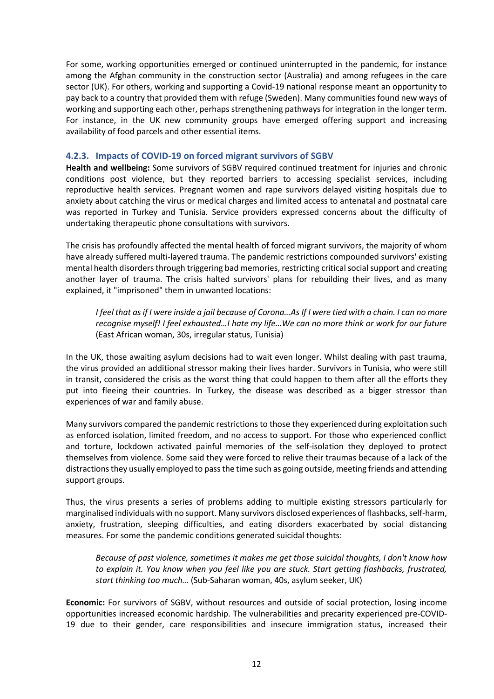For some, working opportunities emerged or continued uninterrupted in the pandemic, for instance among the Afghan community in the construction sector (Australia) and among refugees in the care sector (UK). For others, working and supporting a Covid-19 national response meant an opportunity to pay back to a country that provided them with refuge (Sweden). Many communities found new ways of working and supporting each other, perhaps strengthening pathways for integration in the longer term. For instance, in the UK new community groups have emerged offering support and increasing availability of food parcels and other essential items.

#### <span id="page-11-0"></span>**4.2.3. Impacts of COVID-19 on forced migrant survivors of SGBV**

**Health and wellbeing:** Some survivors of SGBV required continued treatment for injuries and chronic conditions post violence, but they reported barriers to accessing specialist services, including reproductive health services. Pregnant women and rape survivors delayed visiting hospitals due to anxiety about catching the virus or medical charges and limited access to antenatal and postnatal care was reported in Turkey and Tunisia. Service providers expressed concerns about the difficulty of undertaking therapeutic phone consultations with survivors.

The crisis has profoundly affected the mental health of forced migrant survivors, the majority of whom have already suffered multi-layered trauma. The pandemic restrictions compounded survivors' existing mental health disorders through triggering bad memories, restricting critical social support and creating another layer of trauma. The crisis halted survivors' plans for rebuilding their lives, and as many explained, it "imprisoned" them in unwanted locations:

*I feel that as if I were inside a jail because of Corona…As If I were tied with a chain. I can no more recognise myself! I feel exhausted…I hate my life…We can no more think or work for our future*  (East African woman, 30s, irregular status, Tunisia)

In the UK, those awaiting asylum decisions had to wait even longer. Whilst dealing with past trauma, the virus provided an additional stressor making their lives harder. Survivors in Tunisia, who were still in transit, considered the crisis as the worst thing that could happen to them after all the efforts they put into fleeing their countries. In Turkey, the disease was described as a bigger stressor than experiences of war and family abuse.

Many survivors compared the pandemic restrictions to those they experienced during exploitation such as enforced isolation, limited freedom, and no access to support. For those who experienced conflict and torture, lockdown activated painful memories of the self-isolation they deployed to protect themselves from violence. Some said they were forced to relive their traumas because of a lack of the distractions they usually employed to pass the time such as going outside, meeting friends and attending support groups.

Thus, the virus presents a series of problems adding to multiple existing stressors particularly for marginalised individuals with no support. Many survivors disclosed experiences of flashbacks, self-harm, anxiety, frustration, sleeping difficulties, and eating disorders exacerbated by social distancing measures. For some the pandemic conditions generated suicidal thoughts:

*Because of past violence, sometimes it makes me get those suicidal thoughts, I don't know how to explain it. You know when you feel like you are stuck. Start getting flashbacks, frustrated, start thinking too much…* (Sub-Saharan woman, 40s, asylum seeker, UK)

**Economic:** For survivors of SGBV, without resources and outside of social protection, losing income opportunities increased economic hardship. The vulnerabilities and precarity experienced pre-COVID-19 due to their gender, care responsibilities and insecure immigration status, increased their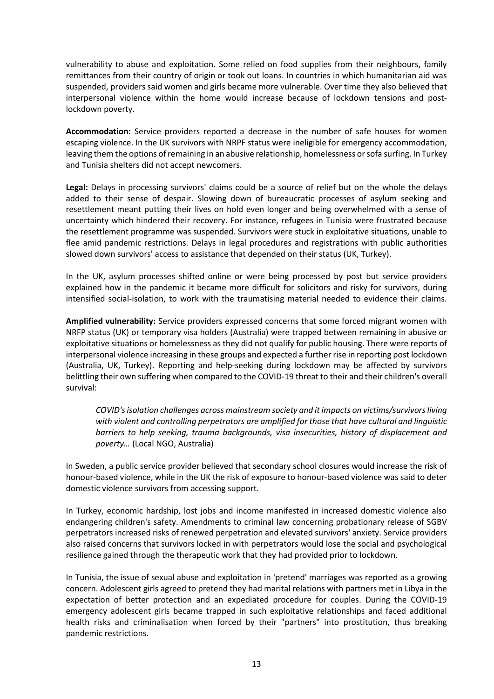vulnerability to abuse and exploitation. Some relied on food supplies from their neighbours, family remittances from their country of origin or took out loans. In countries in which humanitarian aid was suspended, providers said women and girls became more vulnerable. Over time they also believed that interpersonal violence within the home would increase because of lockdown tensions and postlockdown poverty.

**Accommodation:** Service providers reported a decrease in the number of safe houses for women escaping violence. In the UK survivors with NRPF status were ineligible for emergency accommodation, leaving them the options of remaining in an abusive relationship, homelessness or sofa surfing. In Turkey and Tunisia shelters did not accept newcomers.

**Legal:** Delays in processing survivors' claims could be a source of relief but on the whole the delays added to their sense of despair. Slowing down of bureaucratic processes of asylum seeking and resettlement meant putting their lives on hold even longer and being overwhelmed with a sense of uncertainty which hindered their recovery. For instance, refugees in Tunisia were frustrated because the resettlement programme was suspended. Survivors were stuck in exploitative situations, unable to flee amid pandemic restrictions. Delays in legal procedures and registrations with public authorities slowed down survivors' access to assistance that depended on their status (UK, Turkey).

In the UK, asylum processes shifted online or were being processed by post but service providers explained how in the pandemic it became more difficult for solicitors and risky for survivors, during intensified social-isolation, to work with the traumatising material needed to evidence their claims.

**Amplified vulnerability:** Service providers expressed concerns that some forced migrant women with NRFP status (UK) or temporary visa holders (Australia) were trapped between remaining in abusive or exploitative situations or homelessness as they did not qualify for public housing. There were reports of interpersonal violence increasing in these groups and expected a further rise in reporting post lockdown (Australia, UK, Turkey). Reporting and help-seeking during lockdown may be affected by survivors belittling their own suffering when compared to the COVID-19 threat to their and their children's overall survival:

*COVID'sisolation challenges across mainstream society and it impacts on victims/survivorsliving with violent and controlling perpetrators are amplified for those that have cultural and linguistic barriers to help seeking, trauma backgrounds, visa insecurities, history of displacement and poverty…* (Local NGO, Australia)

In Sweden, a public service provider believed that secondary school closures would increase the risk of honour-based violence, while in the UK the risk of exposure to honour-based violence was said to deter domestic violence survivors from accessing support.

In Turkey, economic hardship, lost jobs and income manifested in increased domestic violence also endangering children's safety. Amendments to criminal law concerning probationary release of SGBV perpetrators increased risks of renewed perpetration and elevated survivors' anxiety. Service providers also raised concerns that survivors locked in with perpetrators would lose the social and psychological resilience gained through the therapeutic work that they had provided prior to lockdown.

In Tunisia, the issue of sexual abuse and exploitation in 'pretend' marriages was reported as a growing concern. Adolescent girls agreed to pretend they had marital relations with partners met in Libya in the expectation of better protection and an expediated procedure for couples. During the COVID-19 emergency adolescent girls became trapped in such exploitative relationships and faced additional health risks and criminalisation when forced by their "partners" into prostitution, thus breaking pandemic restrictions.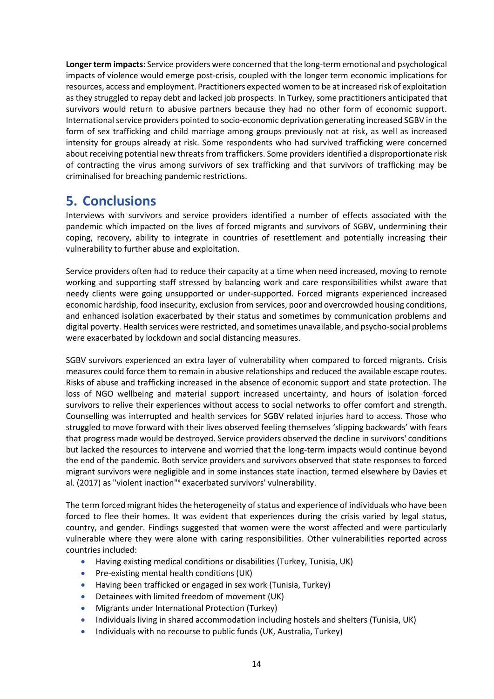**Longer term impacts:** Service providers were concerned that the long-term emotional and psychological impacts of violence would emerge post-crisis, coupled with the longer term economic implications for resources, access and employment. Practitioners expected women to be at increased risk of exploitation as they struggled to repay debt and lacked job prospects. In Turkey, some practitioners anticipated that survivors would return to abusive partners because they had no other form of economic support. International service providers pointed to socio-economic deprivation generating increased SGBV in the form of sex trafficking and child marriage among groups previously not at risk, as well as increased intensity for groups already at risk. Some respondents who had survived trafficking were concerned about receiving potential new threats from traffickers. Some providers identified a disproportionate risk of contracting the virus among survivors of sex trafficking and that survivors of trafficking may be criminalised for breaching pandemic restrictions.

## <span id="page-13-0"></span>**5. Conclusions**

Interviews with survivors and service providers identified a number of effects associated with the pandemic which impacted on the lives of forced migrants and survivors of SGBV, undermining their coping, recovery, ability to integrate in countries of resettlement and potentially increasing their vulnerability to further abuse and exploitation.

Service providers often had to reduce their capacity at a time when need increased, moving to remote working and supporting staff stressed by balancing work and care responsibilities whilst aware that needy clients were going unsupported or under-supported. Forced migrants experienced increased economic hardship, food insecurity, exclusion from services, poor and overcrowded housing conditions, and enhanced isolation exacerbated by their status and sometimes by communication problems and digital poverty. Health services were restricted, and sometimes unavailable, and psycho-social problems were exacerbated by lockdown and social distancing measures.

SGBV survivors experienced an extra layer of vulnerability when compared to forced migrants. Crisis measures could force them to remain in abusive relationships and reduced the available escape routes. Risks of abuse and trafficking increased in the absence of economic support and state protection. The loss of NGO wellbeing and material support increased uncertainty, and hours of isolation forced survivors to relive their experiences without access to social networks to offer comfort and strength. Counselling was interrupted and health services for SGBV related injuries hard to access. Those who struggled to move forward with their lives observed feeling themselves 'slipping backwards' with fears that progress made would be destroyed. Service providers observed the decline in survivors' conditions but lacked the resources to intervene and worried that the long-term impacts would continue beyond the end of the pandemic. Both service providers and survivors observed that state responses to forced migrant survivors were negligible and in some instances state inaction, termed elsewhere by Davies et al. (2017) as "violent inaction"<sup>x</sup> exacerbated survivors' vulnerability.

The term forced migrant hides the heterogeneity of status and experience of individuals who have been forced to flee their homes. It was evident that experiences during the crisis varied by legal status, country, and gender. Findings suggested that women were the worst affected and were particularly vulnerable where they were alone with caring responsibilities. Other vulnerabilities reported across countries included:

- Having existing medical conditions or disabilities (Turkey, Tunisia, UK)
- Pre-existing mental health conditions (UK)
- Having been trafficked or engaged in sex work (Tunisia, Turkey)
- Detainees with limited freedom of movement (UK)
- Migrants under International Protection (Turkey)
- Individuals living in shared accommodation including hostels and shelters (Tunisia, UK)
- Individuals with no recourse to public funds (UK, Australia, Turkey)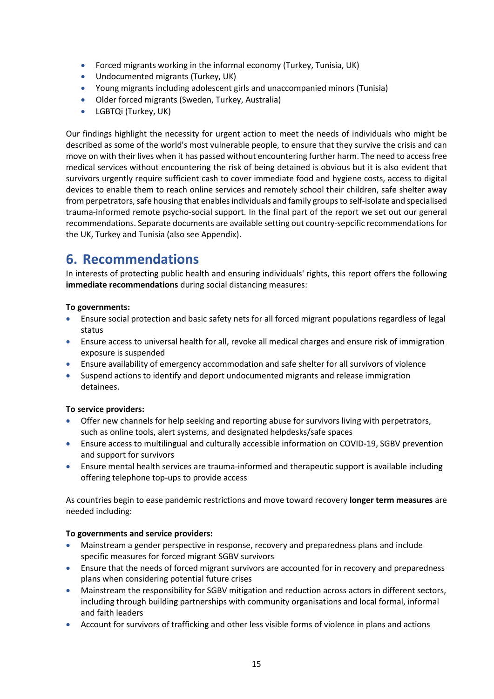- Forced migrants working in the informal economy (Turkey, Tunisia, UK)
- Undocumented migrants (Turkey, UK)
- Young migrants including adolescent girls and unaccompanied minors (Tunisia)
- Older forced migrants (Sweden, Turkey, Australia)
- LGBTQi (Turkey, UK)

Our findings highlight the necessity for urgent action to meet the needs of individuals who might be described as some of the world's most vulnerable people, to ensure that they survive the crisis and can move on with their lives when it has passed without encountering further harm. The need to access free medical services without encountering the risk of being detained is obvious but it is also evident that survivors urgently require sufficient cash to cover immediate food and hygiene costs, access to digital devices to enable them to reach online services and remotely school their children, safe shelter away from perpetrators, safe housing that enables individuals and family groups to self-isolate and specialised trauma-informed remote psycho-social support. In the final part of the report we set out our general recommendations. Separate documents are available setting out country-sepcific recommendations for the UK, Turkey and Tunisia (also see Appendix).

## <span id="page-14-0"></span>**6. Recommendations**

In interests of protecting public health and ensuring individuals' rights, this report offers the following **immediate recommendations** during social distancing measures:

#### **To governments:**

- Ensure social protection and basic safety nets for all forced migrant populations regardless of legal status
- Ensure access to universal health for all, revoke all medical charges and ensure risk of immigration exposure is suspended
- Ensure availability of emergency accommodation and safe shelter for all survivors of violence
- Suspend actions to identify and deport undocumented migrants and release immigration detainees.

#### **To service providers:**

- Offer new channels for help seeking and reporting abuse for survivors living with perpetrators, such as online tools, alert systems, and designated helpdesks/safe spaces
- Ensure access to multilingual and culturally accessible information on COVID-19, SGBV prevention and support for survivors
- Ensure mental health services are trauma-informed and therapeutic support is available including offering telephone top-ups to provide access

As countries begin to ease pandemic restrictions and move toward recovery **longer term measures** are needed including:

#### **To governments and service providers:**

- Mainstream a gender perspective in response, recovery and preparedness plans and include specific measures for forced migrant SGBV survivors
- Ensure that the needs of forced migrant survivors are accounted for in recovery and preparedness plans when considering potential future crises
- Mainstream the responsibility for SGBV mitigation and reduction across actors in different sectors, including through building partnerships with community organisations and local formal, informal and faith leaders
- Account for survivors of trafficking and other less visible forms of violence in plans and actions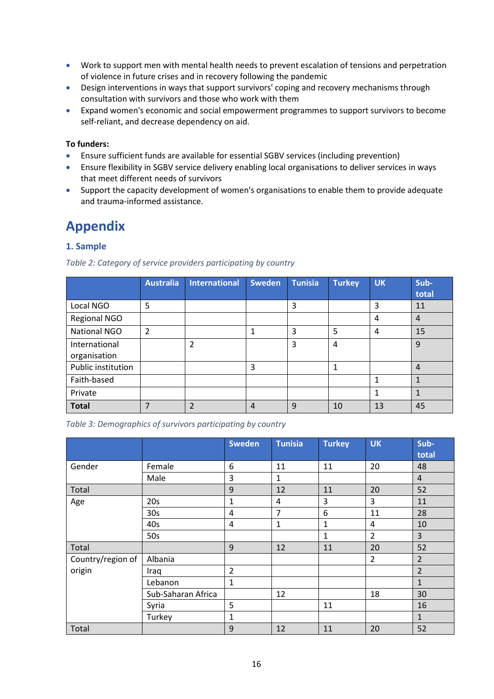- Work to support men with mental health needs to prevent escalation of tensions and perpetration of violence in future crises and in recovery following the pandemic
- Design interventions in ways that support survivors' coping and recovery mechanisms through consultation with survivors and those who work with them
- Expand women's economic and social empowerment programmes to support survivors to become self-reliant, and decrease dependency on aid.

#### **To funders:**

- Ensure sufficient funds are available for essential SGBV services (including prevention)
- Ensure flexibility in SGBV service delivery enabling local organisations to deliver services in ways that meet different needs of survivors
- Support the capacity development of women's organisations to enable them to provide adequate and trauma-informed assistance.

## <span id="page-15-0"></span>**Appendix**

#### **1. Sample**

|                               | <b>Australia</b> | <b>International</b>    | <b>Sweden</b>  | <b>Tunisia</b> | <b>Turkey</b> | <b>UK</b>      | Sub-<br>total  |
|-------------------------------|------------------|-------------------------|----------------|----------------|---------------|----------------|----------------|
| Local NGO                     | 5                |                         |                | 3              |               | 3              | 11             |
| <b>Regional NGO</b>           |                  |                         |                |                |               | $\overline{4}$ | $\overline{4}$ |
| <b>National NGO</b>           | 2                |                         | 1              | 3              | 5             | 4              | 15             |
| International<br>organisation |                  | $\overline{2}$          |                | 3              | 4             |                | 9              |
| Public institution            |                  |                         | 3              |                | 1             |                | $\overline{4}$ |
| Faith-based                   |                  |                         |                |                |               | $\mathbf{1}$   | 1              |
| Private                       |                  |                         |                |                |               | 1              | 1              |
| <b>Total</b>                  | 7                | $\overline{\mathbf{c}}$ | $\overline{4}$ | 9              | 10            | 13             | 45             |

*Table 2: Category of service providers participating by country*

*Table 3: Demographics of survivors participating by country*

|                             |                    | <b>Sweden</b>  | <b>Tunisia</b> | <b>Turkey</b> | <b>UK</b>      | Sub-<br>total  |
|-----------------------------|--------------------|----------------|----------------|---------------|----------------|----------------|
|                             | Female             | 6              | 11             | 11            | 20             | 48             |
| Gender                      |                    |                |                |               |                |                |
|                             | Male               | 3              | $\mathbf{1}$   |               |                | $\overline{4}$ |
| Total                       |                    | 9              | 12             | 11            | 20             | 52             |
| Age                         | 20s                | 1              | 4              | 3             | 3              | 11             |
|                             | 30 <sub>s</sub>    | 4              | $\overline{7}$ | 6             | 11             | 28             |
|                             | 40s                | 4              | $\mathbf{1}$   | $\mathbf{1}$  | 4              | 10             |
|                             | 50s                |                |                | $\mathbf{1}$  | $\overline{2}$ | $\overline{3}$ |
| Total                       |                    | 9              | 12             | 11            | 20             | 52             |
| Country/region of<br>origin | Albania            |                |                |               | $\overline{2}$ | $\overline{2}$ |
|                             | Iraq               | $\overline{2}$ |                |               |                | $\overline{2}$ |
|                             | Lebanon            | $\mathbf{1}$   |                |               |                | $\mathbf{1}$   |
|                             | Sub-Saharan Africa |                | 12             |               | 18             | 30             |
|                             | Syria              | 5              |                | 11            |                | 16             |
|                             | Turkey             | 1              |                |               |                | $\mathbf{1}$   |
| Total                       |                    | $\overline{9}$ | 12             | 11            | 20             | 52             |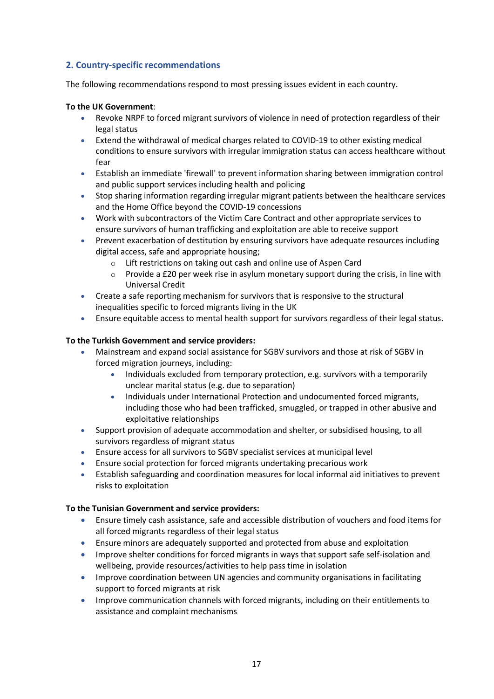#### **2. Country-specific recommendations**

The following recommendations respond to most pressing issues evident in each country.

#### **To the UK Government**:

- Revoke NRPF to forced migrant survivors of violence in need of protection regardless of their legal status
- Extend the withdrawal of medical charges related to COVID-19 to other existing medical conditions to ensure survivors with irregular immigration status can access healthcare without fear
- Establish an immediate 'firewall' to prevent information sharing between immigration control and public support services including health and policing
- Stop sharing information regarding irregular migrant patients between the healthcare services and the Home Office beyond the COVID-19 concessions
- Work with subcontractors of the Victim Care Contract and other appropriate services to ensure survivors of human trafficking and exploitation are able to receive support
- Prevent exacerbation of destitution by ensuring survivors have adequate resources including digital access, safe and appropriate housing;
	- o Lift restrictions on taking out cash and online use of Aspen Card
	- $\circ$  Provide a £20 per week rise in asylum monetary support during the crisis, in line with Universal Credit
- Create a safe reporting mechanism for survivors that is responsive to the structural inequalities specific to forced migrants living in the UK
- Ensure equitable access to mental health support for survivors regardless of their legal status.

#### **To the Turkish Government and service providers:**

- Mainstream and expand social assistance for SGBV survivors and those at risk of SGBV in forced migration journeys, including:
	- Individuals excluded from temporary protection, e.g. survivors with a temporarily unclear marital status (e.g. due to separation)
	- Individuals under International Protection and undocumented forced migrants, including those who had been trafficked, smuggled, or trapped in other abusive and exploitative relationships
- Support provision of adequate accommodation and shelter, or subsidised housing, to all survivors regardless of migrant status
- Ensure access for all survivors to SGBV specialist services at municipal level
- Ensure social protection for forced migrants undertaking precarious work
- Establish safeguarding and coordination measures for local informal aid initiatives to prevent risks to exploitation

#### **To the Tunisian Government and service providers:**

- Ensure timely cash assistance, safe and accessible distribution of vouchers and food items for all forced migrants regardless of their legal status
- Ensure minors are adequately supported and protected from abuse and exploitation
- Improve shelter conditions for forced migrants in ways that support safe self-isolation and wellbeing, provide resources/activities to help pass time in isolation
- Improve coordination between UN agencies and community organisations in facilitating support to forced migrants at risk
- Improve communication channels with forced migrants, including on their entitlements to assistance and complaint mechanisms